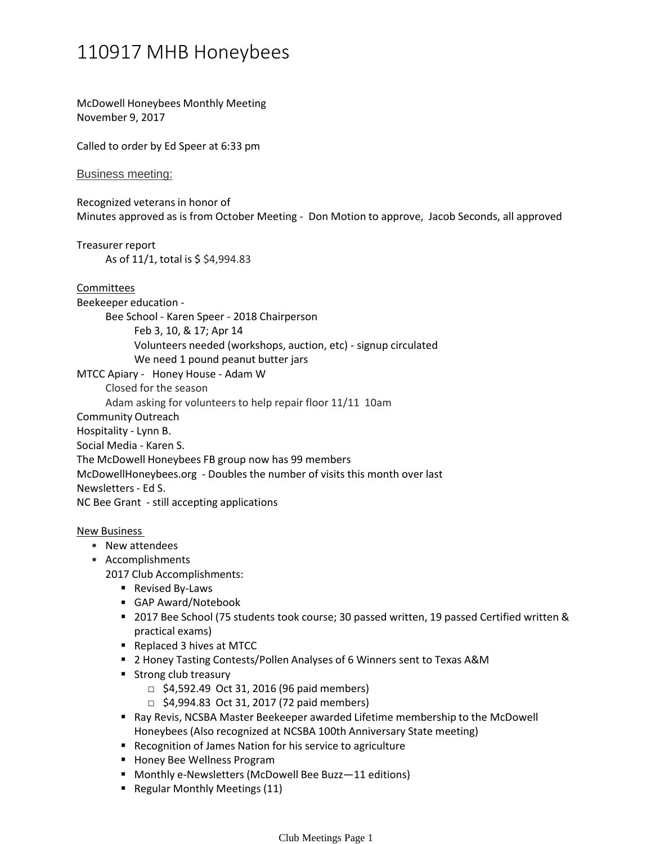## 110917 MHB Honeybees

McDowell Honeybees Monthly Meeting November 9, 2017

Called to order by Ed Speer at 6:33 pm

Business meeting:

Recognized veterans in honor of Minutes approved as is from October Meeting - Don Motion to approve, Jacob Seconds, all approved

Treasurer report

As of 11/1, total is \$ \$4,994.83

Committees

Bee School - Karen Speer - 2018 Chairperson Beekeeper education -

Feb 3, 10, & 17; Apr 14

Volunteers needed (workshops, auction, etc) - signup circulated

We need 1 pound peanut butter jars

MTCC Apiary - Honey House - Adam W

Closed for the season

Adam asking for volunteers to help repair floor 11/11 10am

Community Outreach

Hospitality - Lynn B.

Social Media - Karen S.

The McDowell Honeybees FB group now has 99 members

McDowellHoneybees.org - Doubles the number of visits this month over last

Newsletters - Ed S.

NC Bee Grant - still accepting applications

New Business

- New attendees
- Accomplishments

2017 Club Accomplishments:

- Revised By-Laws
- GAP Award/Notebook
- 2017 Bee School (75 students took course; 30 passed written, 19 passed Certified written & practical exams)
- Replaced 3 hives at MTCC
- 2 Honey Tasting Contests/Pollen Analyses of 6 Winners sent to Texas A&M
- **Strong club treasury** 
	- $\Box$  \$4,592.49 Oct 31, 2016 (96 paid members)
	- $\Box$  \$4,994.83 Oct 31, 2017 (72 paid members)
- Ray Revis, NCSBA Master Beekeeper awarded Lifetime membership to the McDowell Honeybees (Also recognized at NCSBA 100th Anniversary State meeting)
- Recognition of James Nation for his service to agriculture
- **Honey Bee Wellness Program**
- Monthly e-Newsletters (McDowell Bee Buzz-11 editions)
- Regular Monthly Meetings (11)